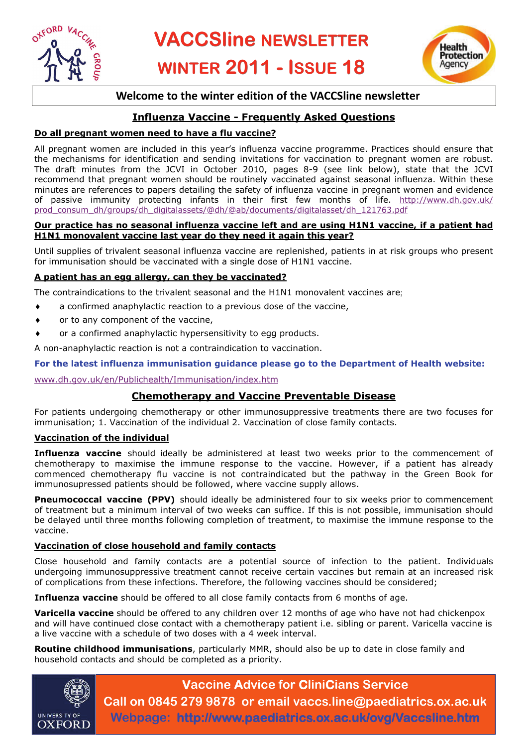



# **Welcome to the winter edition of the VACCSline newsletter**

# **Influenza Vaccine - Frequently Asked Questions**

## **Do all pregnant women need to have a flu vaccine?**

All pregnant women are included in this year's influenza vaccine programme. Practices should ensure that the mechanisms for identification and sending invitations for vaccination to pregnant women are robust. The draft minutes from the JCVI in October 2010, pages 8-9 (see link below), state that the JCVI recommend that pregnant women should be routinely vaccinated against seasonal influenza. Within these minutes are references to papers detailing the safety of influenza vaccine in pregnant women and evidence of passive immunity protecting infants in their first few months of life. [http://www.dh.gov.uk/](http://www.dh.gov.uk/prod_consum_dh/groups/dh_digitalassets/@dh/@ab/documents/digitalasset/dh_121763.pdf) [prod\\_consum\\_dh/groups/dh\\_digitalassets/@dh/@ab/documents/digitalasset/dh\\_121763.pdf](http://www.dh.gov.uk/prod_consum_dh/groups/dh_digitalassets/@dh/@ab/documents/digitalasset/dh_121763.pdf)

#### **Our practice has no seasonal influenza vaccine left and are using H1N1 vaccine, if a patient had H1N1 monovalent vaccine last year do they need it again this year?**

Until supplies of trivalent seasonal influenza vaccine are replenished, patients in at risk groups who present for immunisation should be vaccinated with a single dose of H1N1 vaccine.

#### **A patient has an egg allergy, can they be vaccinated?**

The contraindications to the trivalent seasonal and the H1N1 monovalent vaccines are;

- ♦ a confirmed anaphylactic reaction to a previous dose of the vaccine,
- or to any component of the vaccine,
- or a confirmed anaphylactic hypersensitivity to egg products.

A non-anaphylactic reaction is not a contraindication to vaccination.

#### **For the latest influenza immunisation guidance please go to the Department of Health website:**

[www.dh.gov.uk/en/Publichealth/Immunisation/index.htm](http://www.dh.gov.uk/en/Publichealth/Immunisation/index.htm)

## **Chemotherapy and Vaccine Preventable Disease**

For patients undergoing chemotherapy or other immunosuppressive treatments there are two focuses for immunisation; 1. Vaccination of the individual 2. Vaccination of close family contacts.

#### **Vaccination of the individual**

**Influenza vaccine** should ideally be administered at least two weeks prior to the commencement of chemotherapy to maximise the immune response to the vaccine. However, if a patient has already commenced chemotherapy flu vaccine is not contraindicated but the pathway in the Green Book for immunosupressed patients should be followed, where vaccine supply allows.

**Pneumococcal vaccine (PPV)** should ideally be administered four to six weeks prior to commencement of treatment but a minimum interval of two weeks can suffice. If this is not possible, immunisation should be delayed until three months following completion of treatment, to maximise the immune response to the vaccine.

#### **Vaccination of close household and family contacts**

Close household and family contacts are a potential source of infection to the patient. Individuals undergoing immunosuppressive treatment cannot receive certain vaccines but remain at an increased risk of complications from these infections. Therefore, the following vaccines should be considered;

**Influenza vaccine** should be offered to all close family contacts from 6 months of age.

**Varicella vaccine** should be offered to any children over 12 months of age who have not had chickenpox and will have continued close contact with a chemotherapy patient i.e. sibling or parent. Varicella vaccine is a live vaccine with a schedule of two doses with a 4 week interval.

**Routine childhood immunisations**, particularly MMR, should also be up to date in close family and household contacts and should be completed as a priority.



**Vaccine Advice for CliniCians Service Call on 0845 279 9878 or email vaccs.line@paediatrics.ox.ac.uk Webpage: http://www.paediatrics.ox.ac.uk/ovg/Vaccsline.htm**